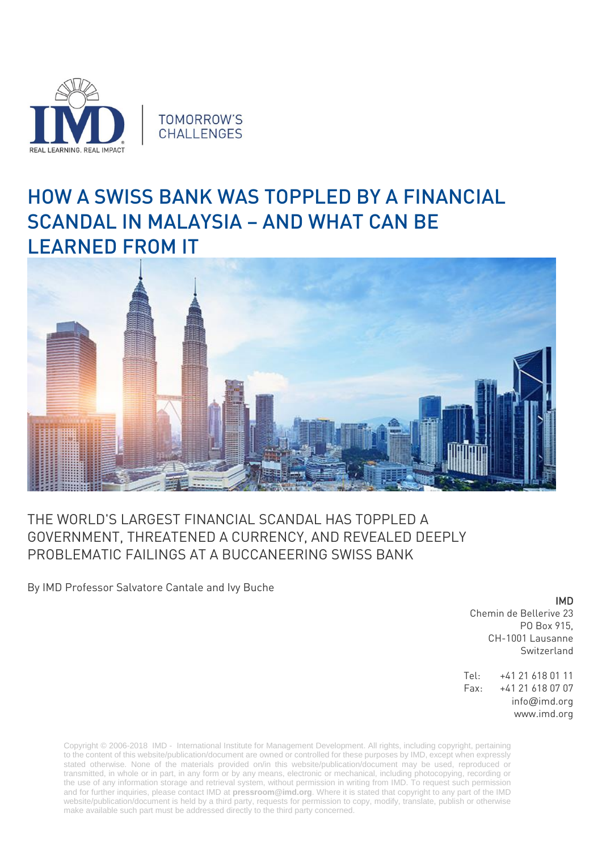

## HOW A SWISS BANK WAS TOPPLED BY A FINANCIAL SCANDAL IN MALAYSIA – AND WHAT CAN BE LEARNED FROM IT



## THE WORLD'S LARGEST FINANCIAL SCANDAL HAS TOPPLED A GOVERNMENT, THREATENED A CURRENCY, AND REVEALED DEEPLY PROBLEMATIC FAILINGS AT A BUCCANEERING SWISS BANK

By IMD Professor Salvatore Cantale and Ivy Buche

IMD

Chemin de Bellerive 23 PO Box 915, CH-1001 Lausanne Switzerland

Tel: +41 21 618 01 11 Fax: +41 21 618 07 07 info@imd.org www.imd.org

Copyright © 2006-2018 IMD - International Institute for Management Development. All rights, including copyright, pertaining to the content of this website/publication/document are owned or controlled for these purposes by IMD, except when expressly stated otherwise. None of the materials provided on/in this website/publication/document may be used, reproduced or transmitted, in whole or in part, in any form or by any means, electronic or mechanical, including photocopying, recording or the use of any information storage and retrieval system, without permission in writing from IMD. To request such permission and for further inquiries, please contact IMD at **[pressroom@imd.org](mailto:pressroom@imd.org)**. Where it is stated that copyright to any part of the IMD website/publication/document is held by a third party, requests for permission to copy, modify, translate, publish or otherwise make available such part must be addressed directly to the third party concerned.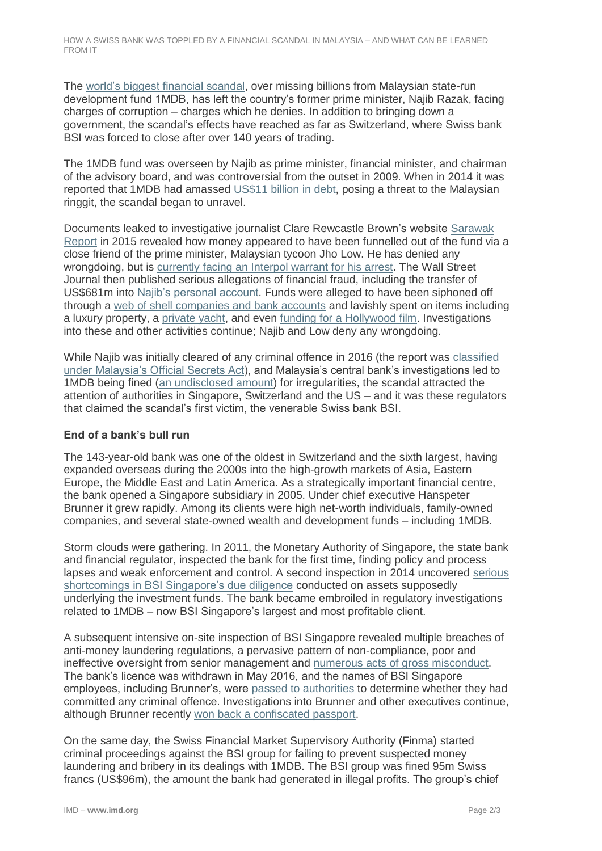The [world's biggest financial scandal,](https://www.theguardian.com/world/2016/jul/28/1mdb-inside-story-worlds-biggest-financial-scandal-malaysia) over missing billions from Malaysian state-run development fund 1MDB, has left the country's former prime minister, Najib Razak, facing charges of corruption – charges which he denies. In addition to bringing down a government, the scandal's effects have reached as far as Switzerland, where Swiss bank BSI was forced to close after over 140 years of trading.

The 1MDB fund was overseen by Najib as prime minister, financial minister, and chairman of the advisory board, and was controversial from the outset in 2009. When in 2014 it was reported that 1MDB had amassed [US\\$11 billion in debt,](https://www.scmp.com/business/money/markets-investing/article/1524084/surging-debt-malaysias-shadowy-1mdb-fund-emerges) posing a threat to the Malaysian ringgit, the scandal began to unravel.

Documents leaked to investigative journalist Clare Rewcastle Brown's website [Sarawak](http://www.sarawakreport.org/2015/02/heist-of-the-century-how-jho-low-used-petrosaudi-as-a-front-to-siphon-billions-out-of-1mdb-world-exclusive/)  [Report](http://www.sarawakreport.org/2015/02/heist-of-the-century-how-jho-low-used-petrosaudi-as-a-front-to-siphon-billions-out-of-1mdb-world-exclusive/) in 2015 revealed how money appeared to have been funnelled out of the fund via a close friend of the prime minister, Malaysian tycoon Jho Low. He has denied any wrongdoing, but is [currently facing an Interpol warrant for his arrest.](https://www.scmp.com/news/hong-kong/hong-kong-law-and-crime/article/2154783/alleged-1mdb-mastermind-jho-low-flees-macau) The Wall Street Journal then published serious allegations of financial fraud, including the transfer of US\$681m into [Najib's personal account.](https://www.wsj.com/articles/SB10130211234592774869404581083700187014570) Funds were alleged to have been siphoned off through a [web of shell companies and bank accounts](https://www.wsj.com/graphics/1mdb-money-flow/) and lavishly spent on items including a luxury property, a [private yacht,](https://qz.com/1350137/a-250-million-souvenir-of-1mdb-corruption-is-sailing-back-to-malaysia/) and even [funding for a Hollywood film.](https://www.reuters.com/article/us-malaysia-scandal-redgranite/the-wolf-of-wall-street-producers-to-pay-60-million-to-u-s-in-lawsuit-settlement-idUSKCN1GJ0FH) Investigations into these and other activities continue; Najib and Low deny any wrongdoing.

While Najib was initially cleared of any criminal offence in 2016 (the report was [classified](https://www.nst.com.my/news/2016/04/137829/auditor-generals-report-still-classified-osa-says-pandikar)  [under Malaysia's Official Secrets Act\)](https://www.nst.com.my/news/2016/04/137829/auditor-generals-report-still-classified-osa-says-pandikar), and Malaysia's central bank's investigations led to 1MDB being fined [\(an undisclosed amount\)](https://www.channelnewsasia.com/news/asia/malaysia-s-central-bank-governor-maintains-case-closed-against-1-8038452) for irregularities, the scandal attracted the attention of authorities in Singapore, Switzerland and the US – and it was these regulators that claimed the scandal's first victim, the venerable Swiss bank BSI.

## **End of a bank's bull run**

The 143-year-old bank was one of the oldest in Switzerland and the sixth largest, having expanded overseas during the 2000s into the high-growth markets of Asia, Eastern Europe, the Middle East and Latin America. As a strategically important financial centre, the bank opened a Singapore subsidiary in 2005. Under chief executive Hanspeter Brunner it grew rapidly. Among its clients were high net-worth individuals, family-owned companies, and several state-owned wealth and development funds – including 1MDB.

Storm clouds were gathering. In 2011, the Monetary Authority of Singapore, the state bank and financial regulator, inspected the bank for the first time, finding policy and process lapses and weak enforcement and control. A second inspection in 2014 uncovered [serious](http://www.mas.gov.sg/News-and-Publications/Enforcement-Actions/2016/MAS-directs-BSI-Bank-to-shut-down-in-Singapore.aspx)  [shortcomings in BSI Singapore's due diligence](http://www.mas.gov.sg/News-and-Publications/Enforcement-Actions/2016/MAS-directs-BSI-Bank-to-shut-down-in-Singapore.aspx) conducted on assets supposedly underlying the investment funds. The bank became embroiled in regulatory investigations related to 1MDB – now BSI Singapore's largest and most profitable client.

A subsequent intensive on-site inspection of BSI Singapore revealed multiple breaches of anti-money laundering regulations, a pervasive pattern of non-compliance, poor and ineffective oversight from senior management and [numerous acts of gross misconduct.](http://www.mas.gov.sg/News-and-Publications/Media-Releases/2016/MAS-directs-BSI-Bank-to-shut-down-in-Singapore.aspx) The bank's licence was withdrawn in May 2016, and the names of BSI Singapore employees, including Brunner's, were [passed to authorities](https://www.businesstimes.com.sg/banking-finance/mas-orders-shutdown-of-bsi-bank-in-singapore-over-alleged-anti-money-laundering) to determine whether they had committed any criminal offence. Investigations into Brunner and other executives continue, although Brunner recently [won back a confiscated passport.](https://www.finews.com/news/english-news/32524-hanspeter-brunner-bsi-1mdb-cad-singapore-passport-returned-investigation-malaysia)

On the same day, the Swiss Financial Market Supervisory Authority (Finma) started criminal proceedings against the BSI group for failing to prevent suspected money laundering and bribery in its dealings with 1MDB. The BSI group was fined 95m Swiss francs (US\$96m), the amount the bank had generated in illegal profits. The group's chief